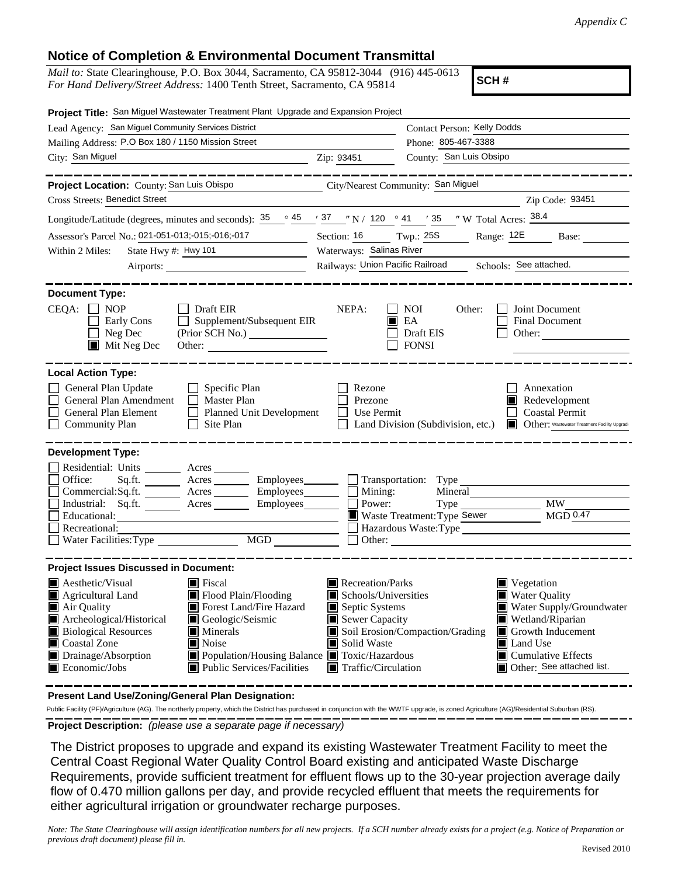## **Notice of Completion & Environmental Document Transmittal**

*Mail to:* State Clearinghouse, P.O. Box 3044, Sacramento, CA 95812-3044 (916) 445-0613 *For Hand Delivery/Street Address:* 1400 Tenth Street, Sacramento, CA 95814

**SCH #**

| Project Title: San Miguel Wastewater Treatment Plant Upgrade and Expansion Project                                                                                                                                                                                                                                                                                                                                                                                                                  |                                                                                                                                                  |                                                         |                                                                                                                                                                                        |  |
|-----------------------------------------------------------------------------------------------------------------------------------------------------------------------------------------------------------------------------------------------------------------------------------------------------------------------------------------------------------------------------------------------------------------------------------------------------------------------------------------------------|--------------------------------------------------------------------------------------------------------------------------------------------------|---------------------------------------------------------|----------------------------------------------------------------------------------------------------------------------------------------------------------------------------------------|--|
| Lead Agency: San Miguel Community Services District                                                                                                                                                                                                                                                                                                                                                                                                                                                 |                                                                                                                                                  | Contact Person: Kelly Dodds                             |                                                                                                                                                                                        |  |
| Mailing Address: P.O Box 180 / 1150 Mission Street                                                                                                                                                                                                                                                                                                                                                                                                                                                  | Phone: 805-467-3388                                                                                                                              |                                                         |                                                                                                                                                                                        |  |
| City: San Miguel<br>$\overline{\phantom{a}}$ $\overline{\phantom{a}}$ $\overline{\phantom{a}}$ $\overline{\phantom{a}}$ $\overline{\phantom{a}}$ $\overline{\phantom{a}}$ $\overline{\phantom{a}}$ $\overline{\phantom{a}}$ $\overline{\phantom{a}}$ $\overline{\phantom{a}}$ $\overline{\phantom{a}}$ $\overline{\phantom{a}}$ $\overline{\phantom{a}}$ $\overline{\phantom{a}}$ $\overline{\phantom{a}}$ $\overline{\phantom{a}}$ $\overline{\phantom{a}}$ $\overline{\phantom{a}}$ $\overline{\$ |                                                                                                                                                  | County: San Luis Obsipo                                 |                                                                                                                                                                                        |  |
| Project Location: County: San Luis Obispo                                                                                                                                                                                                                                                                                                                                                                                                                                                           |                                                                                                                                                  | City/Nearest Community: San Miguel                      |                                                                                                                                                                                        |  |
| <b>Cross Streets: Benedict Street</b>                                                                                                                                                                                                                                                                                                                                                                                                                                                               |                                                                                                                                                  |                                                         | Zip Code: 93451                                                                                                                                                                        |  |
| Longitude/Latitude (degrees, minutes and seconds): $\frac{35}{25}$ $\frac{45}{27}$ $\frac{37}{27}$ $\frac{1}{27}$ N / 120 $\degree$ 41 $\degree$ 35 $\degree$ W Total Acres: $\frac{38.4}{27}$                                                                                                                                                                                                                                                                                                      |                                                                                                                                                  |                                                         |                                                                                                                                                                                        |  |
| Assessor's Parcel No.: 021-051-013;-015;-016;-017                                                                                                                                                                                                                                                                                                                                                                                                                                                   | Section: 16 Twp.: 25S                                                                                                                            |                                                         | Range: 12E<br>Base:                                                                                                                                                                    |  |
| Within 2 Miles:<br>State Hwy #: Hwy 101<br><u> 1989 - Johann Stone, p</u>                                                                                                                                                                                                                                                                                                                                                                                                                           | Waterways: Salinas River                                                                                                                         |                                                         |                                                                                                                                                                                        |  |
| Airports:                                                                                                                                                                                                                                                                                                                                                                                                                                                                                           | Railways: Union Pacific Railroad<br>Schools: See attached.                                                                                       |                                                         |                                                                                                                                                                                        |  |
| <b>Document Type:</b><br>$CEQA: \Box NP$<br>Draft EIR<br>Supplement/Subsequent EIR<br>Early Cons<br>Neg Dec<br>$\blacksquare$ Mit Neg Dec                                                                                                                                                                                                                                                                                                                                                           | NEPA:                                                                                                                                            | <b>NOI</b><br>Other:<br>EA<br>Draft EIS<br><b>FONSI</b> | Joint Document<br><b>Final Document</b><br>Other:                                                                                                                                      |  |
| <b>Local Action Type:</b>                                                                                                                                                                                                                                                                                                                                                                                                                                                                           |                                                                                                                                                  |                                                         |                                                                                                                                                                                        |  |
| General Plan Update<br>$\Box$ Specific Plan<br>General Plan Amendment<br>Master Plan<br>Planned Unit Development<br>General Plan Element<br><b>Community Plan</b><br>$\Box$ Site Plan                                                                                                                                                                                                                                                                                                               | Rezone<br>Prezone<br>Use Permit                                                                                                                  | Land Division (Subdivision, etc.)                       | Annexation<br>$\blacksquare$ Redevelopment<br><b>Coastal Permit</b><br>Other: Wastewater Treatment Facility Upgrade                                                                    |  |
| <b>Development Type:</b><br>Residential: Units _________ Acres _______<br>Sq.ft. ________ Acres _________ Employees _______ __ Transportation: Type _______<br>Office:<br>Commercial:Sq.ft. ________ Acres _________ Employees ________ $\Box$ Mining:<br>Industrial: Sq.ft. _______ Acres _______ Employees _______ $\Box$<br>Educational:<br>Recreational:<br>Water Facilities: Type                                                                                                              | Power:                                                                                                                                           | Mineral<br>Waste Treatment: Type Sewer                  | MW<br>MGD <sub>0.47</sub><br>Hazardous Waste:Type                                                                                                                                      |  |
| <b>Project Issues Discussed in Document:</b>                                                                                                                                                                                                                                                                                                                                                                                                                                                        |                                                                                                                                                  |                                                         |                                                                                                                                                                                        |  |
| $\blacksquare$ Aesthetic/Visual<br>$\blacksquare$ Fiscal<br>Agricultural Land<br>$\blacksquare$ Flood Plain/Flooding<br>Forest Land/Fire Hazard<br>Air Quality<br>Archeological/Historical<br>Geologic/Seismic<br>ш<br><b>Biological Resources</b><br>$\blacksquare$ Minerals<br>Coastal Zone<br>$\blacksquare$ Noise<br>Drainage/Absorption<br>Population/Housing Balance ■ Toxic/Hazardous<br>Economic/Jobs<br>■ Public Services/Facilities                                                       | Recreation/Parks<br>Schools/Universities<br>Septic Systems<br>$\blacksquare$ Sewer Capacity<br>Solid Waste<br>$\blacksquare$ Traffic/Circulation | Soil Erosion/Compaction/Grading                         | Vegetation<br>Water Quality<br>Water Supply/Groundwater<br>Wetland/Riparian<br>$\Box$ Growth Inducement<br><b>■</b> Land Use<br>$\Box$ Cumulative Effects<br>Other: See attached list. |  |

**Present Land Use/Zoning/General Plan Designation:**

**Project Description:** *(please use a separate page if necessary)* Public Facility (PF)/Agriculture (AG). The northerly property, which the District has purchased in conjunction with the WWTF upgrade, is zoned Agriculture (AG)/Residential Suburban (RS).

 The District proposes to upgrade and expand its existing Wastewater Treatment Facility to meet the Central Coast Regional Water Quality Control Board existing and anticipated Waste Discharge Requirements, provide sufficient treatment for effluent flows up to the 30-year projection average daily flow of 0.470 million gallons per day, and provide recycled effluent that meets the requirements for either agricultural irrigation or groundwater recharge purposes.

*Note: The State Clearinghouse will assign identification numbers for all new projects. If a SCH number already exists for a project (e.g. Notice of Preparation or previous draft document) please fill in.*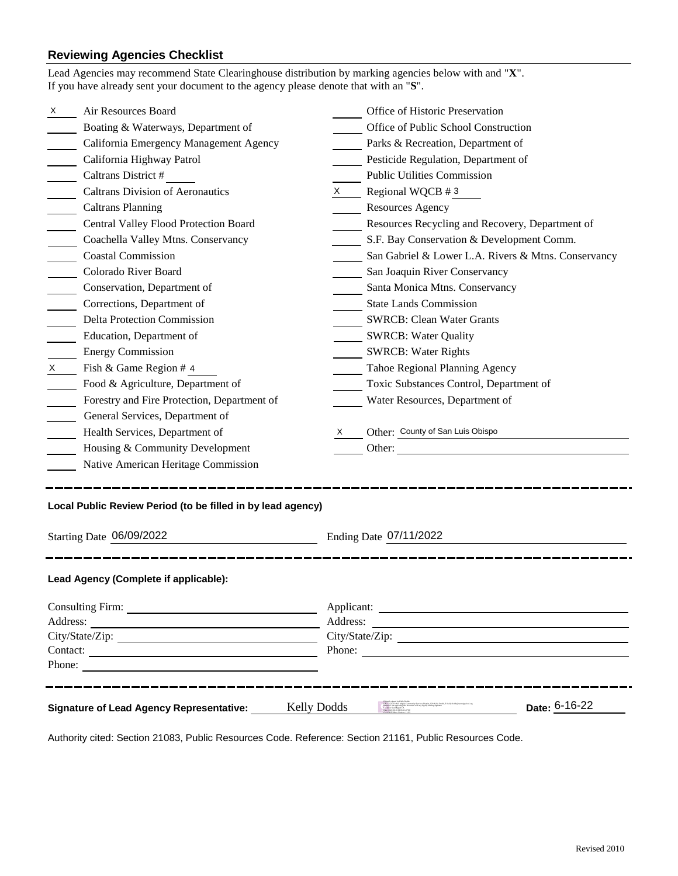## **Reviewing Agencies Checklist**

| Lead Agencies may recommend State Clearinghouse distribution by marking agencies below with and "X".<br>If you have already sent your document to the agency please denote that with an "S".                                                                                                                                  |                                                     |  |  |  |  |  |
|-------------------------------------------------------------------------------------------------------------------------------------------------------------------------------------------------------------------------------------------------------------------------------------------------------------------------------|-----------------------------------------------------|--|--|--|--|--|
| Air Resources Board<br>X                                                                                                                                                                                                                                                                                                      | Office of Historic Preservation                     |  |  |  |  |  |
| Boating & Waterways, Department of                                                                                                                                                                                                                                                                                            | Office of Public School Construction                |  |  |  |  |  |
| California Emergency Management Agency                                                                                                                                                                                                                                                                                        | Parks & Recreation, Department of                   |  |  |  |  |  |
| California Highway Patrol                                                                                                                                                                                                                                                                                                     | Pesticide Regulation, Department of                 |  |  |  |  |  |
| Caltrans District #                                                                                                                                                                                                                                                                                                           | <b>Public Utilities Commission</b>                  |  |  |  |  |  |
| <b>Caltrans Division of Aeronautics</b>                                                                                                                                                                                                                                                                                       | Regional WQCB $#3$<br>$\boldsymbol{\mathsf{X}}$     |  |  |  |  |  |
| <b>Caltrans Planning</b><br>$\overline{\phantom{a}}$                                                                                                                                                                                                                                                                          | <b>Resources Agency</b>                             |  |  |  |  |  |
| Central Valley Flood Protection Board                                                                                                                                                                                                                                                                                         | Resources Recycling and Recovery, Department of     |  |  |  |  |  |
| Coachella Valley Mtns. Conservancy                                                                                                                                                                                                                                                                                            | S.F. Bay Conservation & Development Comm.           |  |  |  |  |  |
| <b>Coastal Commission</b>                                                                                                                                                                                                                                                                                                     | San Gabriel & Lower L.A. Rivers & Mtns. Conservancy |  |  |  |  |  |
| Colorado River Board                                                                                                                                                                                                                                                                                                          | San Joaquin River Conservancy                       |  |  |  |  |  |
| Conservation, Department of                                                                                                                                                                                                                                                                                                   | Santa Monica Mtns. Conservancy                      |  |  |  |  |  |
| Corrections, Department of                                                                                                                                                                                                                                                                                                    | <b>State Lands Commission</b>                       |  |  |  |  |  |
| <b>Delta Protection Commission</b>                                                                                                                                                                                                                                                                                            | <b>SWRCB: Clean Water Grants</b>                    |  |  |  |  |  |
| Education, Department of                                                                                                                                                                                                                                                                                                      | <b>SWRCB: Water Quality</b>                         |  |  |  |  |  |
| <b>Energy Commission</b>                                                                                                                                                                                                                                                                                                      | <b>SWRCB: Water Rights</b>                          |  |  |  |  |  |
| $\mathsf{X}$<br>Fish & Game Region # 4                                                                                                                                                                                                                                                                                        | Tahoe Regional Planning Agency                      |  |  |  |  |  |
| Food & Agriculture, Department of                                                                                                                                                                                                                                                                                             | Toxic Substances Control, Department of             |  |  |  |  |  |
| Forestry and Fire Protection, Department of                                                                                                                                                                                                                                                                                   | Water Resources, Department of                      |  |  |  |  |  |
| General Services, Department of                                                                                                                                                                                                                                                                                               |                                                     |  |  |  |  |  |
| Health Services, Department of                                                                                                                                                                                                                                                                                                | Other: County of San Luis Obispo<br>X.              |  |  |  |  |  |
| Housing & Community Development                                                                                                                                                                                                                                                                                               | Other:                                              |  |  |  |  |  |
| Native American Heritage Commission                                                                                                                                                                                                                                                                                           |                                                     |  |  |  |  |  |
| Local Public Review Period (to be filled in by lead agency)                                                                                                                                                                                                                                                                   |                                                     |  |  |  |  |  |
| Starting Date 06/09/2022                                                                                                                                                                                                                                                                                                      | Ending Date 07/11/2022                              |  |  |  |  |  |
| Lead Agency (Complete if applicable):                                                                                                                                                                                                                                                                                         |                                                     |  |  |  |  |  |
|                                                                                                                                                                                                                                                                                                                               |                                                     |  |  |  |  |  |
|                                                                                                                                                                                                                                                                                                                               | Address:                                            |  |  |  |  |  |
|                                                                                                                                                                                                                                                                                                                               | City/State/Zip:                                     |  |  |  |  |  |
|                                                                                                                                                                                                                                                                                                                               | Phone:                                              |  |  |  |  |  |
| Phone:                                                                                                                                                                                                                                                                                                                        |                                                     |  |  |  |  |  |
| Depuidy (speed) Koly Dashk<br>Depuid Sammairy Services District, CO-Kally Dealty dealty dealty the<br>sampening distribution of the content with my legally limiting signature<br>. Taken a last Marset Core of the content with my<br>Date: 6-16-22<br><b>Kelly Dodds</b><br><b>Signature of Lead Agency Representative:</b> |                                                     |  |  |  |  |  |

Authority cited: Section 21083, Public Resources Code. Reference: Section 21161, Public Resources Code.